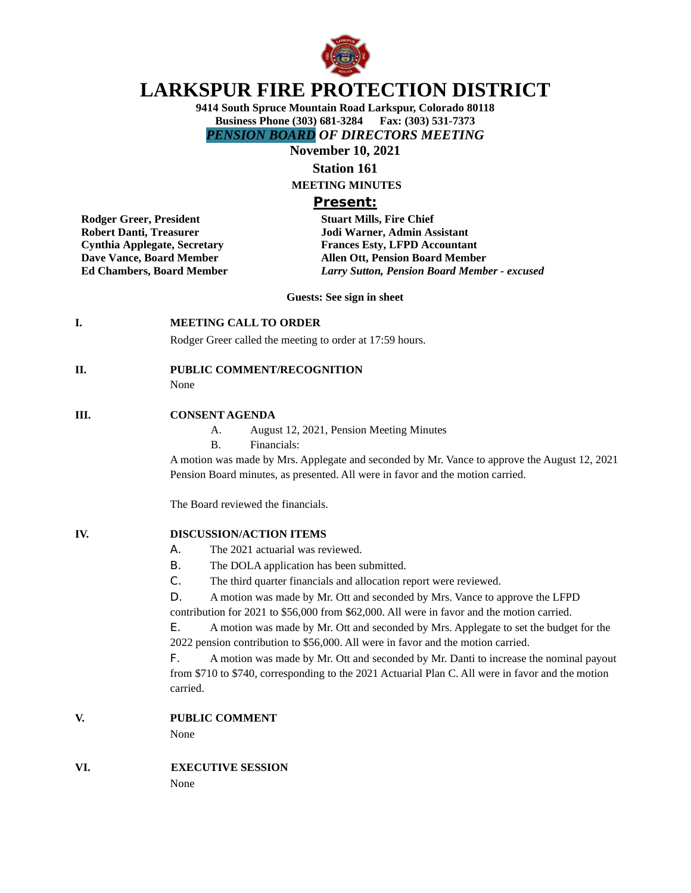

# **LARKSPUR FIRE PROTECTION DISTRICT**

**9414 South Spruce Mountain Road Larkspur, Colorado 80118 Business Phone (303) 681-3284 Fax: (303) 531-7373** *PENSION BOARD OF DIRECTORS MEETING*

**November 10, 2021**

**Station 161**

**MEETING MINUTES**

# **Present:**

**Robert Danti, Treasurer Manusculi Equipment Solution School Warner, Admin Assistant<br>
Cynthia Applegate, Secretary Manusculi Example Frances Esty, LFPD Accountar** 

**Rodger Greer, President Stuart Mills, Fire Chief Cynthia Applegate, Secretary Frances Esty, LFPD Accountant Dave Vance, Board Member Allen Ott, Pension Board Member Ed Chambers, Board Member** *Larry Sutton, Pension Board Member - excused*

**Guests: See sign in sheet**

# **I. MEETING CALL TO ORDER**

Rodger Greer called the meeting to order at 17:59 hours.

# **II. PUBLIC COMMENT/RECOGNITION**

None

#### **III. CONSENT AGENDA**

- A. August 12, 2021, Pension Meeting Minutes
- B. Financials:

A motion was made by Mrs. Applegate and seconded by Mr. Vance to approve the August 12, 2021 Pension Board minutes, as presented. All were in favor and the motion carried.

The Board reviewed the financials.

# **IV. DISCUSSION/ACTION ITEMS**

- A. The 2021 actuarial was reviewed.
- B. The DOLA application has been submitted.
- C. The third quarter financials and allocation report were reviewed.
- D. A motion was made by Mr. Ott and seconded by Mrs. Vance to approve the LFPD

contribution for 2021 to \$56,000 from \$62,000. All were in favor and the motion carried.

E. A motion was made by Mr. Ott and seconded by Mrs. Applegate to set the budget for the 2022 pension contribution to \$56,000. All were in favor and the motion carried.

F. A motion was made by Mr. Ott and seconded by Mr. Danti to increase the nominal payout from \$710 to \$740, corresponding to the 2021 Actuarial Plan C. All were in favor and the motion carried.

**V. PUBLIC COMMENT**

None

### **VI. EXECUTIVE SESSION** None